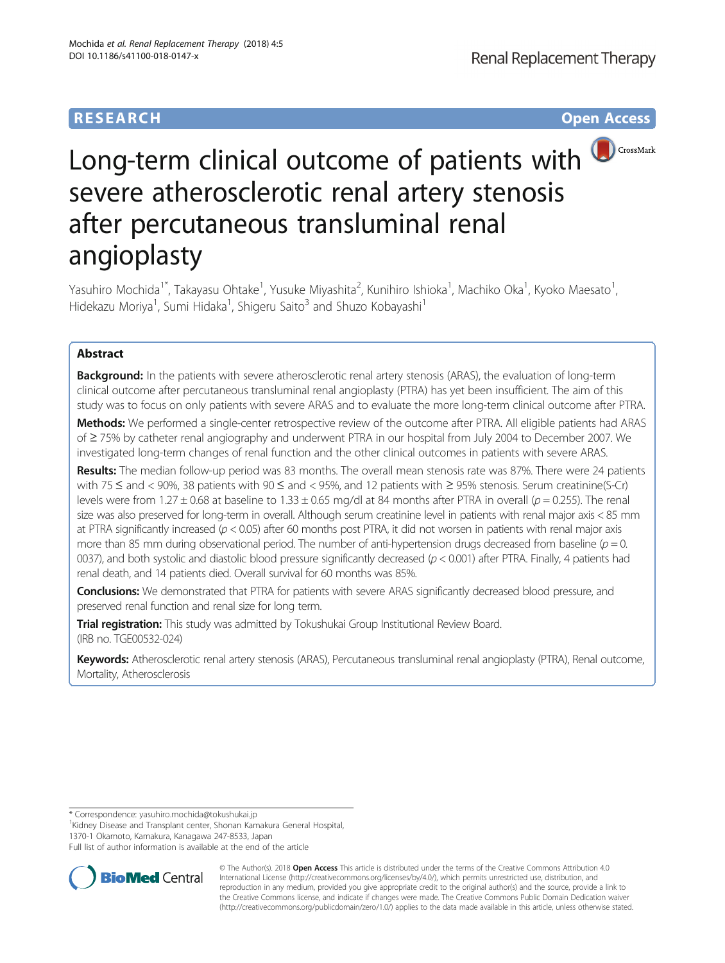## **RESEARCH CHE Open Access**



# Long-term clinical outcome of patients with **D**CrossMark severe atherosclerotic renal artery stenosis after percutaneous transluminal renal angioplasty

Yasuhiro Mochida<sup>1\*</sup>, Takayasu Ohtake<sup>1</sup>, Yusuke Miyashita<sup>2</sup>, Kunihiro Ishioka<sup>1</sup>, Machiko Oka<sup>1</sup>, Kyoko Maesato<sup>1</sup> , Hidekazu Moriya<sup>1</sup>, Sumi Hidaka<sup>1</sup>, Shigeru Saito<sup>3</sup> and Shuzo Kobayashi<sup>1</sup>

## Abstract

**Background:** In the patients with severe atherosclerotic renal artery stenosis (ARAS), the evaluation of long-term clinical outcome after percutaneous transluminal renal angioplasty (PTRA) has yet been insufficient. The aim of this study was to focus on only patients with severe ARAS and to evaluate the more long-term clinical outcome after PTRA.

Methods: We performed a single-center retrospective review of the outcome after PTRA. All eligible patients had ARAS of ≥ 75% by catheter renal angiography and underwent PTRA in our hospital from July 2004 to December 2007. We investigated long-term changes of renal function and the other clinical outcomes in patients with severe ARAS.

Results: The median follow-up period was 83 months. The overall mean stenosis rate was 87%. There were 24 patients with 75 ≤ and < 90%, 38 patients with 90 ≤ and < 95%, and 12 patients with ≥ 95% stenosis. Serum creatinine(S-Cr) levels were from 1.27  $\pm$  0.68 at baseline to 1.33  $\pm$  0.65 mg/dl at 84 months after PTRA in overall ( $p = 0.255$ ). The renal size was also preserved for long-term in overall. Although serum creatinine level in patients with renal major axis < 85 mm at PTRA significantly increased ( $p < 0.05$ ) after 60 months post PTRA, it did not worsen in patients with renal major axis more than 85 mm during observational period. The number of anti-hypertension drugs decreased from baseline ( $p = 0$ .) 0037), and both systolic and diastolic blood pressure significantly decreased ( $p < 0.001$ ) after PTRA. Finally, 4 patients had renal death, and 14 patients died. Overall survival for 60 months was 85%.

Conclusions: We demonstrated that PTRA for patients with severe ARAS significantly decreased blood pressure, and preserved renal function and renal size for long term.

Trial registration: This study was admitted by Tokushukai Group Institutional Review Board. (IRB no. [TGE00532-024](http://www.mirai-iryo.com/rinri/file/irb_gijiroku_115.pdf))

Keywords: Atherosclerotic renal artery stenosis (ARAS), Percutaneous transluminal renal angioplasty (PTRA), Renal outcome, Mortality, Atherosclerosis

<sup>1</sup>Kidney Disease and Transplant center, Shonan Kamakura General Hospital,

Full list of author information is available at the end of the article



© The Author(s). 2018 Open Access This article is distributed under the terms of the Creative Commons Attribution 4.0 International License [\(http://creativecommons.org/licenses/by/4.0/](http://creativecommons.org/licenses/by/4.0/)), which permits unrestricted use, distribution, and reproduction in any medium, provided you give appropriate credit to the original author(s) and the source, provide a link to the Creative Commons license, and indicate if changes were made. The Creative Commons Public Domain Dedication waiver [\(http://creativecommons.org/publicdomain/zero/1.0/](http://creativecommons.org/publicdomain/zero/1.0/)) applies to the data made available in this article, unless otherwise stated.

<sup>\*</sup> Correspondence: [yasuhiro.mochida@tokushukai.jp](mailto:yasuhiro.mochida@tokushukai.jp) <sup>1</sup>

<sup>1370-1</sup> Okamoto, Kamakura, Kanagawa 247-8533, Japan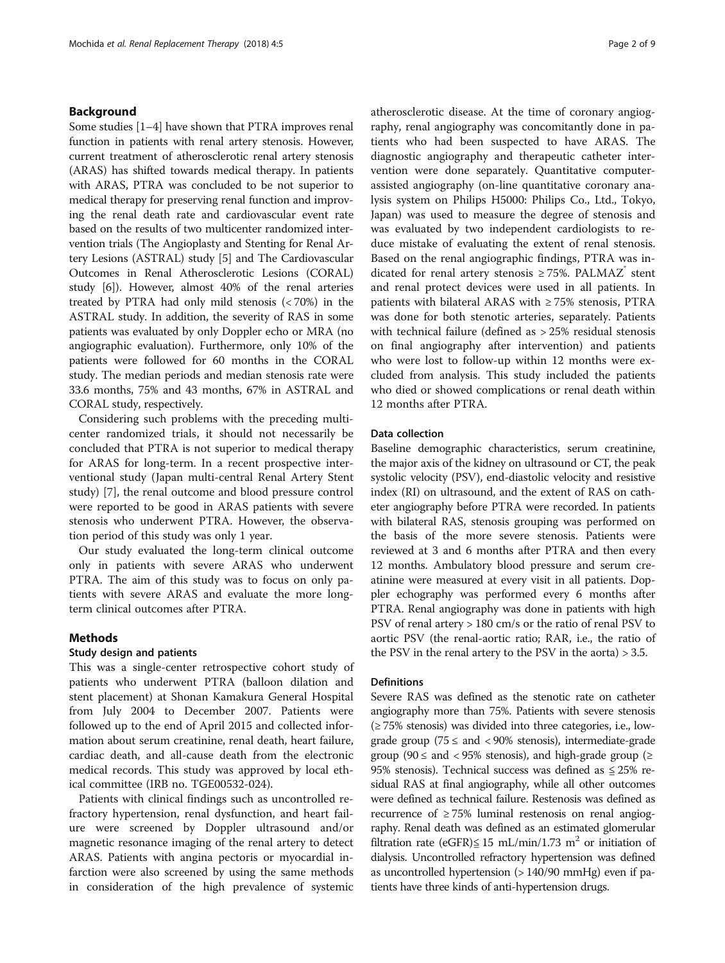## Background

Some studies [[1](#page-8-0)–[4](#page-8-0)] have shown that PTRA improves renal function in patients with renal artery stenosis. However, current treatment of atherosclerotic renal artery stenosis (ARAS) has shifted towards medical therapy. In patients with ARAS, PTRA was concluded to be not superior to medical therapy for preserving renal function and improving the renal death rate and cardiovascular event rate based on the results of two multicenter randomized intervention trials (The Angioplasty and Stenting for Renal Artery Lesions (ASTRAL) study [[5](#page-8-0)] and The Cardiovascular Outcomes in Renal Atherosclerotic Lesions (CORAL) study [\[6\]](#page-8-0)). However, almost 40% of the renal arteries treated by PTRA had only mild stenosis (< 70%) in the ASTRAL study. In addition, the severity of RAS in some patients was evaluated by only Doppler echo or MRA (no angiographic evaluation). Furthermore, only 10% of the patients were followed for 60 months in the CORAL study. The median periods and median stenosis rate were 33.6 months, 75% and 43 months, 67% in ASTRAL and CORAL study, respectively.

Considering such problems with the preceding multicenter randomized trials, it should not necessarily be concluded that PTRA is not superior to medical therapy for ARAS for long-term. In a recent prospective interventional study (Japan multi-central Renal Artery Stent study) [[7\]](#page-8-0), the renal outcome and blood pressure control were reported to be good in ARAS patients with severe stenosis who underwent PTRA. However, the observation period of this study was only 1 year.

Our study evaluated the long-term clinical outcome only in patients with severe ARAS who underwent PTRA. The aim of this study was to focus on only patients with severe ARAS and evaluate the more longterm clinical outcomes after PTRA.

## Methods

## Study design and patients

This was a single-center retrospective cohort study of patients who underwent PTRA (balloon dilation and stent placement) at Shonan Kamakura General Hospital from July 2004 to December 2007. Patients were followed up to the end of April 2015 and collected information about serum creatinine, renal death, heart failure, cardiac death, and all-cause death from the electronic medical records. This study was approved by local ethical committee (IRB no. TGE00532-024).

Patients with clinical findings such as uncontrolled refractory hypertension, renal dysfunction, and heart failure were screened by Doppler ultrasound and/or magnetic resonance imaging of the renal artery to detect ARAS. Patients with angina pectoris or myocardial infarction were also screened by using the same methods in consideration of the high prevalence of systemic atherosclerotic disease. At the time of coronary angiography, renal angiography was concomitantly done in patients who had been suspected to have ARAS. The diagnostic angiography and therapeutic catheter intervention were done separately. Quantitative computerassisted angiography (on-line quantitative coronary analysis system on Philips H5000: Philips Co., Ltd., Tokyo, Japan) was used to measure the degree of stenosis and was evaluated by two independent cardiologists to reduce mistake of evaluating the extent of renal stenosis. Based on the renal angiographic findings, PTRA was indicated for renal artery stenosis  $\geq$  75%. PALMAZ<sup>®</sup> stent and renal protect devices were used in all patients. In patients with bilateral ARAS with ≥ 75% stenosis, PTRA was done for both stenotic arteries, separately. Patients with technical failure (defined as > 25% residual stenosis on final angiography after intervention) and patients who were lost to follow-up within 12 months were excluded from analysis. This study included the patients who died or showed complications or renal death within 12 months after PTRA.

#### Data collection

Baseline demographic characteristics, serum creatinine, the major axis of the kidney on ultrasound or CT, the peak systolic velocity (PSV), end-diastolic velocity and resistive index (RI) on ultrasound, and the extent of RAS on catheter angiography before PTRA were recorded. In patients with bilateral RAS, stenosis grouping was performed on the basis of the more severe stenosis. Patients were reviewed at 3 and 6 months after PTRA and then every 12 months. Ambulatory blood pressure and serum creatinine were measured at every visit in all patients. Doppler echography was performed every 6 months after PTRA. Renal angiography was done in patients with high PSV of renal artery > 180 cm/s or the ratio of renal PSV to aortic PSV (the renal-aortic ratio; RAR, i.e., the ratio of the PSV in the renal artery to the PSV in the aorta) > 3.5.

## **Definitions**

Severe RAS was defined as the stenotic rate on catheter angiography more than 75%. Patients with severe stenosis (≥ 75% stenosis) was divided into three categories, i.e., lowgrade group (75  $\leq$  and  $\lt$  90% stenosis), intermediate-grade group (90  $\le$  and  $\lt$  95% stenosis), and high-grade group ( $\ge$ 95% stenosis). Technical success was defined as  $\leq$  25% residual RAS at final angiography, while all other outcomes were defined as technical failure. Restenosis was defined as recurrence of  $\geq$  75% luminal restenosis on renal angiography. Renal death was defined as an estimated glomerular filtration rate (eGFR) $\leq$  15 mL/min/1.73 m<sup>2</sup> or initiation of dialysis. Uncontrolled refractory hypertension was defined as uncontrolled hypertension (> 140/90 mmHg) even if patients have three kinds of anti-hypertension drugs.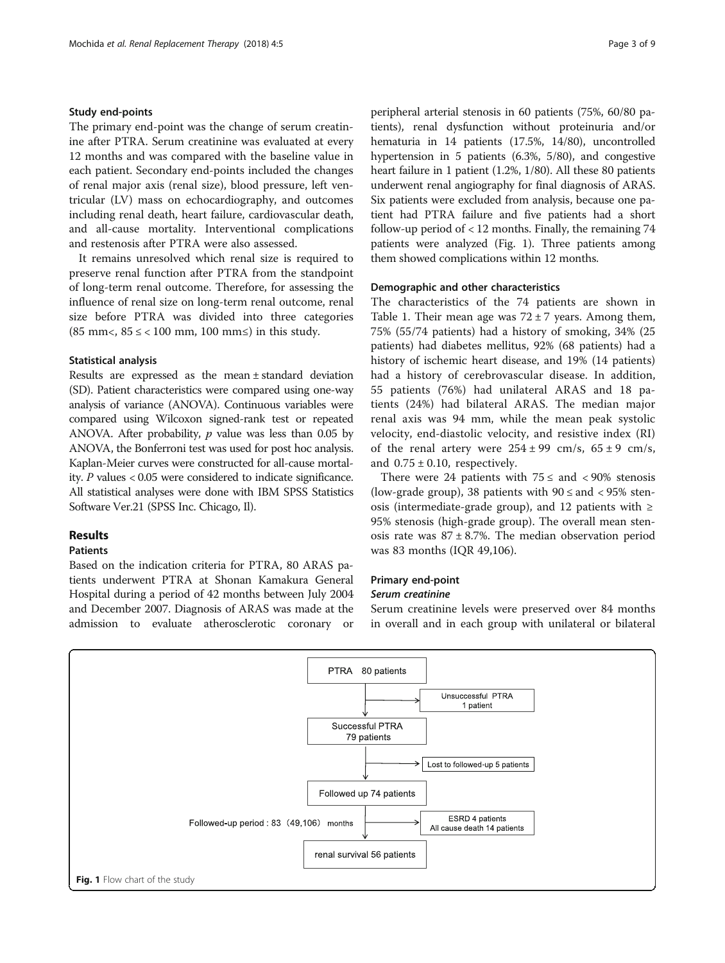## Study end-points

The primary end-point was the change of serum creatinine after PTRA. Serum creatinine was evaluated at every 12 months and was compared with the baseline value in each patient. Secondary end-points included the changes of renal major axis (renal size), blood pressure, left ventricular (LV) mass on echocardiography, and outcomes including renal death, heart failure, cardiovascular death, and all-cause mortality. Interventional complications and restenosis after PTRA were also assessed.

It remains unresolved which renal size is required to preserve renal function after PTRA from the standpoint of long-term renal outcome. Therefore, for assessing the influence of renal size on long-term renal outcome, renal size before PTRA was divided into three categories (85 mm<,  $85 \le$  < 100 mm, 100 mm $\le$ ) in this study.

## Statistical analysis

Results are expressed as the mean ± standard deviation (SD). Patient characteristics were compared using one-way analysis of variance (ANOVA). Continuous variables were compared using Wilcoxon signed-rank test or repeated ANOVA. After probability,  $p$  value was less than 0.05 by ANOVA, the Bonferroni test was used for post hoc analysis. Kaplan-Meier curves were constructed for all-cause mortality. P values < 0.05 were considered to indicate significance. All statistical analyses were done with IBM SPSS Statistics Software Ver.21 (SPSS Inc. Chicago, Il).

## Results

## Patients

Based on the indication criteria for PTRA, 80 ARAS patients underwent PTRA at Shonan Kamakura General Hospital during a period of 42 months between July 2004 and December 2007. Diagnosis of ARAS was made at the admission to evaluate atherosclerotic coronary or peripheral arterial stenosis in 60 patients (75%, 60/80 patients), renal dysfunction without proteinuria and/or hematuria in 14 patients (17.5%, 14/80), uncontrolled hypertension in 5 patients (6.3%, 5/80), and congestive heart failure in 1 patient (1.2%, 1/80). All these 80 patients underwent renal angiography for final diagnosis of ARAS. Six patients were excluded from analysis, because one patient had PTRA failure and five patients had a short follow-up period of  $< 12$  months. Finally, the remaining 74 patients were analyzed (Fig. 1). Three patients among them showed complications within 12 months.

## Demographic and other characteristics

The characteristics of the 74 patients are shown in Table [1](#page-3-0). Their mean age was  $72 \pm 7$  years. Among them, 75% (55/74 patients) had a history of smoking, 34% (25 patients) had diabetes mellitus, 92% (68 patients) had a history of ischemic heart disease, and 19% (14 patients) had a history of cerebrovascular disease. In addition, 55 patients (76%) had unilateral ARAS and 18 patients (24%) had bilateral ARAS. The median major renal axis was 94 mm, while the mean peak systolic velocity, end-diastolic velocity, and resistive index (RI) of the renal artery were  $254 \pm 99$  cm/s,  $65 \pm 9$  cm/s, and  $0.75 \pm 0.10$ , respectively.

There were 24 patients with  $75 \leq$  and  $\lt$  90% stenosis (low-grade group), 38 patients with  $90 \leq$  and  $< 95\%$  stenosis (intermediate-grade group), and 12 patients with  $\geq$ 95% stenosis (high-grade group). The overall mean stenosis rate was  $87 \pm 8.7$ %. The median observation period was 83 months (IQR 49,106).

## Primary end-point

## Serum creatinine

Serum creatinine levels were preserved over 84 months in overall and in each group with unilateral or bilateral

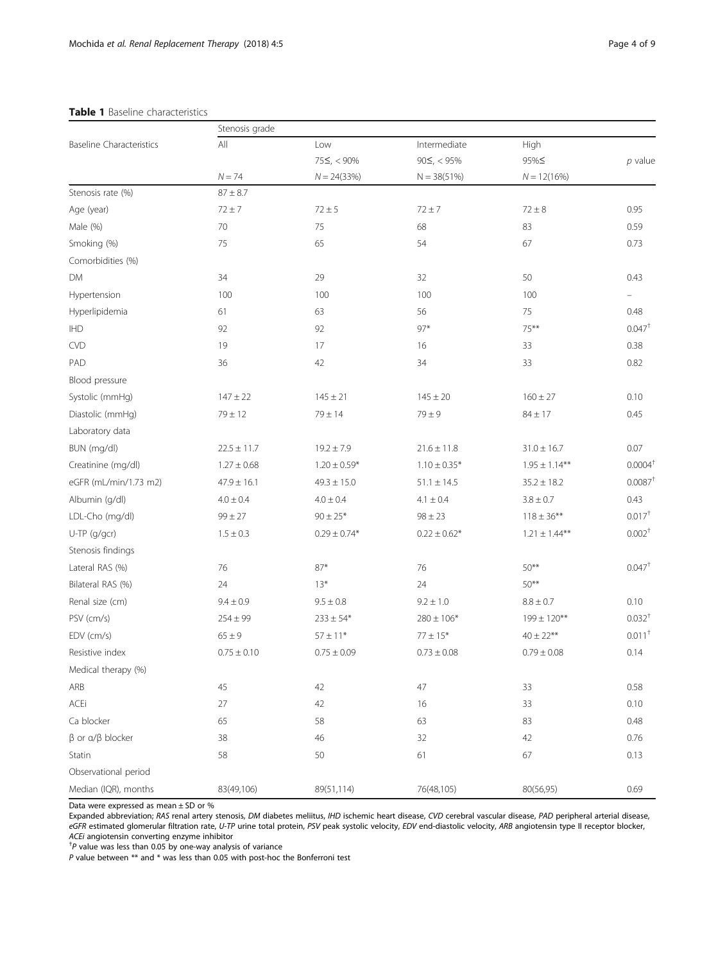## <span id="page-3-0"></span>Table 1 Baseline characteristics

|                                   | Stenosis grade             |                                          |                                                    |                               |                      |                   |              |            |            |            |      |
|-----------------------------------|----------------------------|------------------------------------------|----------------------------------------------------|-------------------------------|----------------------|-------------------|--------------|------------|------------|------------|------|
| <b>Baseline Characteristics</b>   | $\mathsf{All}$<br>$N = 74$ | Low<br>$75\leq, < 90\%$<br>$N = 24(33%)$ | Intermediate<br>$90 \leq, < 95\%$<br>$N = 38(51%)$ | High<br>95%≤<br>$N = 12(16%)$ | $p$ value            |                   |              |            |            |            |      |
|                                   |                            |                                          |                                                    |                               |                      | Stenosis rate (%) | $87 \pm 8.7$ |            |            |            |      |
|                                   |                            |                                          |                                                    |                               |                      | Age (year)        | $72 \pm 7$   | $72 \pm 5$ | $72 \pm 7$ | $72 \pm 8$ | 0.95 |
| Male (%)                          | 70                         | 75                                       | 68                                                 | 83                            | 0.59                 |                   |              |            |            |            |      |
| Smoking (%)                       | 75                         | 65                                       | 54                                                 | 67                            | 0.73                 |                   |              |            |            |            |      |
| Comorbidities (%)                 |                            |                                          |                                                    |                               |                      |                   |              |            |            |            |      |
| DM                                | 34                         | 29                                       | 32                                                 | 50                            | 0.43                 |                   |              |            |            |            |      |
| Hypertension                      | 100                        | 100                                      | 100                                                | 100                           |                      |                   |              |            |            |            |      |
| Hyperlipidemia                    | 61                         | 63                                       | 56                                                 | 75                            | 0.48                 |                   |              |            |            |            |      |
| <b>IHD</b>                        | 92                         | 92                                       | $97*$                                              | $75***$                       | $0.047^+$            |                   |              |            |            |            |      |
| <b>CVD</b>                        | 19                         | 17                                       | 16                                                 | 33                            | 0.38                 |                   |              |            |            |            |      |
| PAD                               | 36                         | 42                                       | 34                                                 | 33                            | 0.82                 |                   |              |            |            |            |      |
| Blood pressure                    |                            |                                          |                                                    |                               |                      |                   |              |            |            |            |      |
| Systolic (mmHg)                   | $147 \pm 22$               | $145 \pm 21$                             | $145 \pm 20$                                       | $160 \pm 27$                  | 0.10                 |                   |              |            |            |            |      |
| Diastolic (mmHg)                  | $79 \pm 12$                | $79 \pm 14$                              | $79 \pm 9$                                         | $84 \pm 17$                   | 0.45                 |                   |              |            |            |            |      |
| Laboratory data                   |                            |                                          |                                                    |                               |                      |                   |              |            |            |            |      |
| BUN (mg/dl)                       | $22.5 \pm 11.7$            | $19.2 \pm 7.9$                           | $21.6 \pm 11.8$                                    | $31.0 \pm 16.7$               | 0.07                 |                   |              |            |            |            |      |
| Creatinine (mg/dl)                | $1.27 \pm 0.68$            | $1.20 \pm 0.59*$                         | $1.10 \pm 0.35*$                                   | $1.95 \pm 1.14***$            | $0.0004+$            |                   |              |            |            |            |      |
| eGFR (mL/min/1.73 m2)             | $47.9 \pm 16.1$            | $49.3 \pm 15.0$                          | $51.1 \pm 14.5$                                    | $35.2 \pm 18.2$               | $0.0087^{\dagger}$   |                   |              |            |            |            |      |
| Albumin (g/dl)                    | $4.0 \pm 0.4$              | $4.0 \pm 0.4$                            | $4.1 \pm 0.4$                                      | $3.8 \pm 0.7$                 | 0.43                 |                   |              |            |            |            |      |
| LDL-Cho (mg/dl)                   | $99 \pm 27$                | $90 \pm 25*$                             | $98 \pm 23$                                        | $118 \pm 36***$               | $0.017^{+}$          |                   |              |            |            |            |      |
| U-TP (g/gcr)                      | $1.5 \pm 0.3$              | $0.29 \pm 0.74*$                         | $0.22 \pm 0.62*$                                   | $1.21 \pm 1.44***$            | $0.002^+$            |                   |              |            |            |            |      |
| Stenosis findings                 |                            |                                          |                                                    |                               |                      |                   |              |            |            |            |      |
| Lateral RAS (%)                   | 76                         | $87*$                                    | 76                                                 | $50***$                       | $0.047$ <sup>+</sup> |                   |              |            |            |            |      |
| Bilateral RAS (%)                 | 24                         | $13*$                                    | 24                                                 | $50***$                       |                      |                   |              |            |            |            |      |
| Renal size (cm)                   | $9.4 \pm 0.9$              | $9.5 \pm 0.8$                            | $9.2 \pm 1.0$                                      | $8.8 \pm 0.7$                 | 0.10                 |                   |              |            |            |            |      |
| PSV (cm/s)                        | $254 \pm 99$               | $233 \pm 54*$                            | $280 \pm 106*$                                     | $199 \pm 120***$              | 0.032 <sup>†</sup>   |                   |              |            |            |            |      |
| EDV (cm/s)                        | $65 \pm 9$                 | $57 \pm 11*$                             | $77 \pm 15*$                                       | $40 \pm 22***$                | $0.011^{+}$          |                   |              |            |            |            |      |
| Resistive index                   | $0.75 \pm 0.10$            | $0.75 \pm 0.09$                          | $0.73 \pm 0.08$                                    | $0.79 \pm 0.08$               | 0.14                 |                   |              |            |            |            |      |
| Medical therapy (%)               |                            |                                          |                                                    |                               |                      |                   |              |            |            |            |      |
| ARB                               | 45                         | 42                                       | 47                                                 | 33                            | 0.58                 |                   |              |            |            |            |      |
| ACEi                              | 27                         | 42                                       | 16                                                 | 33                            | 0.10                 |                   |              |            |            |            |      |
| Ca blocker                        | 65                         | 58                                       | 63                                                 | 83                            | 0.48                 |                   |              |            |            |            |      |
| $\beta$ or $\alpha/\beta$ blocker | 38                         | 46                                       | 32                                                 | 42                            | 0.76                 |                   |              |            |            |            |      |
| Statin                            | 58                         | 50                                       | 61                                                 | 67                            | 0.13                 |                   |              |            |            |            |      |
| Observational period              |                            |                                          |                                                    |                               |                      |                   |              |            |            |            |      |
| Median (IQR), months              | 83(49,106)                 | 89(51,114)                               | 76(48,105)                                         | 80(56,95)                     | 0.69                 |                   |              |            |            |            |      |

Data were expressed as mean ± SD or %

Expanded abbreviation; RAS renal artery stenosis, DM diabetes meliitus, IHD ischemic heart disease, CVD cerebral vascular disease, PAD peripheral arterial disease, eGFR estimated glomerular filtration rate, U-TP urine total protein, PSV peak systolic velocity, EDV end-diastolic velocity, ARB angiotensin type II receptor blocker, ACEi angiotensin converting enzyme inhibitor †

 $P$  value was less than 0.05 by one-way analysis of variance

P value between \*\* and \* was less than 0.05 with post-hoc the Bonferroni test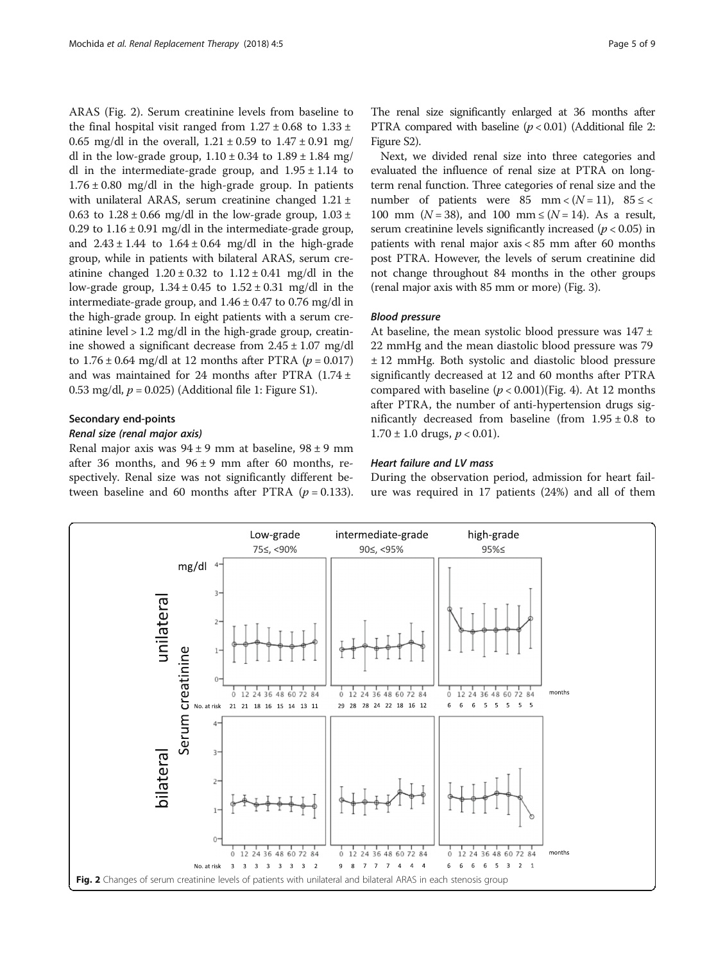ARAS (Fig. 2). Serum creatinine levels from baseline to the final hospital visit ranged from  $1.27 \pm 0.68$  to  $1.33 \pm 0.68$ 0.65 mg/dl in the overall,  $1.21 \pm 0.59$  to  $1.47 \pm 0.91$  mg/ dl in the low-grade group,  $1.10 \pm 0.34$  to  $1.89 \pm 1.84$  mg/ dl in the intermediate-grade group, and  $1.95 \pm 1.14$  to  $1.76 \pm 0.80$  mg/dl in the high-grade group. In patients with unilateral ARAS, serum creatinine changed 1.21 ± 0.63 to  $1.28 \pm 0.66$  mg/dl in the low-grade group,  $1.03 \pm 0.66$ 0.29 to  $1.16 \pm 0.91$  mg/dl in the intermediate-grade group, and  $2.43 \pm 1.44$  to  $1.64 \pm 0.64$  mg/dl in the high-grade group, while in patients with bilateral ARAS, serum creatinine changed  $1.20 \pm 0.32$  to  $1.12 \pm 0.41$  mg/dl in the low-grade group,  $1.34 \pm 0.45$  to  $1.52 \pm 0.31$  mg/dl in the intermediate-grade group, and  $1.46 \pm 0.47$  to 0.76 mg/dl in the high-grade group. In eight patients with a serum creatinine level > 1.2 mg/dl in the high-grade group, creatinine showed a significant decrease from  $2.45 \pm 1.07$  mg/dl to  $1.76 \pm 0.64$  mg/dl at 12 months after PTRA ( $p = 0.017$ ) and was maintained for 24 months after PTRA  $(1.74 \pm$ 0.53 mg/dl,  $p = 0.025$ ) (Additional file [1](#page-7-0): Figure S1).

## Secondary end-points

## Renal size (renal major axis)

Renal major axis was  $94 \pm 9$  mm at baseline,  $98 \pm 9$  mm after 36 months, and  $96 \pm 9$  mm after 60 months, respectively. Renal size was not significantly different between baseline and 60 months after PTRA  $(p = 0.133)$ .

The renal size significantly enlarged at 36 months after PTRA compared with baseline  $(p < 0.01)$  (Additional file [2](#page-7-0): Figure S2).

Next, we divided renal size into three categories and evaluated the influence of renal size at PTRA on longterm renal function. Three categories of renal size and the number of patients were 85 mm <  $(N = 11)$ , 85 ≤ < 100 mm ( $N = 38$ ), and 100 mm  $\leq (N = 14)$ . As a result, serum creatinine levels significantly increased ( $p < 0.05$ ) in patients with renal major axis < 85 mm after 60 months post PTRA. However, the levels of serum creatinine did not change throughout 84 months in the other groups (renal major axis with 85 mm or more) (Fig. [3](#page-5-0)).

## Blood pressure

At baseline, the mean systolic blood pressure was  $147 \pm$ 22 mmHg and the mean diastolic blood pressure was 79 ± 12 mmHg. Both systolic and diastolic blood pressure significantly decreased at 12 and 60 months after PTRA compared with baseline  $(p < 0.001)$ (Fig. [4](#page-5-0)). At 12 months after PTRA, the number of anti-hypertension drugs significantly decreased from baseline (from  $1.95 \pm 0.8$  to  $1.70 \pm 1.0$  drugs,  $p < 0.01$ ).

## Heart failure and LV mass

During the observation period, admission for heart failure was required in 17 patients (24%) and all of them

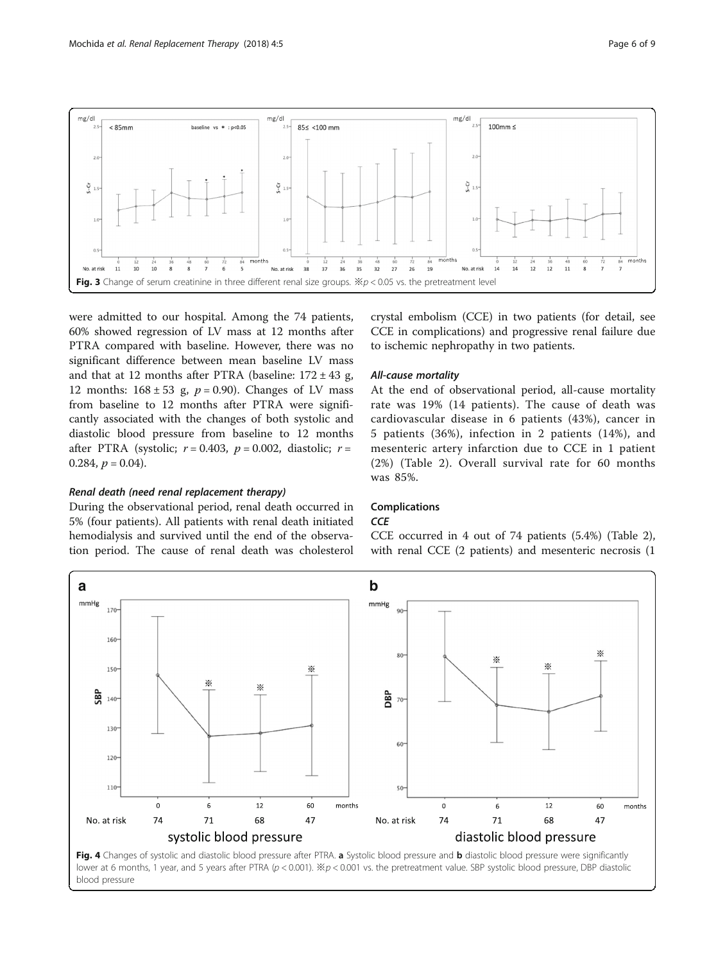<span id="page-5-0"></span>

were admitted to our hospital. Among the 74 patients, 60% showed regression of LV mass at 12 months after PTRA compared with baseline. However, there was no significant difference between mean baseline LV mass and that at 12 months after PTRA (baseline:  $172 \pm 43$  g, 12 months:  $168 \pm 53$  g,  $p = 0.90$ ). Changes of LV mass from baseline to 12 months after PTRA were significantly associated with the changes of both systolic and diastolic blood pressure from baseline to 12 months after PTRA (systolic;  $r = 0.403$ ,  $p = 0.002$ , diastolic;  $r =$ 0.284,  $p = 0.04$ ).

## Renal death (need renal replacement therapy)

During the observational period, renal death occurred in 5% (four patients). All patients with renal death initiated hemodialysis and survived until the end of the observation period. The cause of renal death was cholesterol crystal embolism (CCE) in two patients (for detail, see CCE in complications) and progressive renal failure due to ischemic nephropathy in two patients.

## All-cause mortality

At the end of observational period, all-cause mortality rate was 19% (14 patients). The cause of death was cardiovascular disease in 6 patients (43%), cancer in 5 patients (36%), infection in 2 patients (14%), and mesenteric artery infarction due to CCE in 1 patient (2%) (Table [2\)](#page-6-0). Overall survival rate for 60 months was 85%.

## Complications

## $CCF$

CCE occurred in 4 out of 74 patients (5.4%) (Table [2](#page-6-0)), with renal CCE (2 patients) and mesenteric necrosis (1

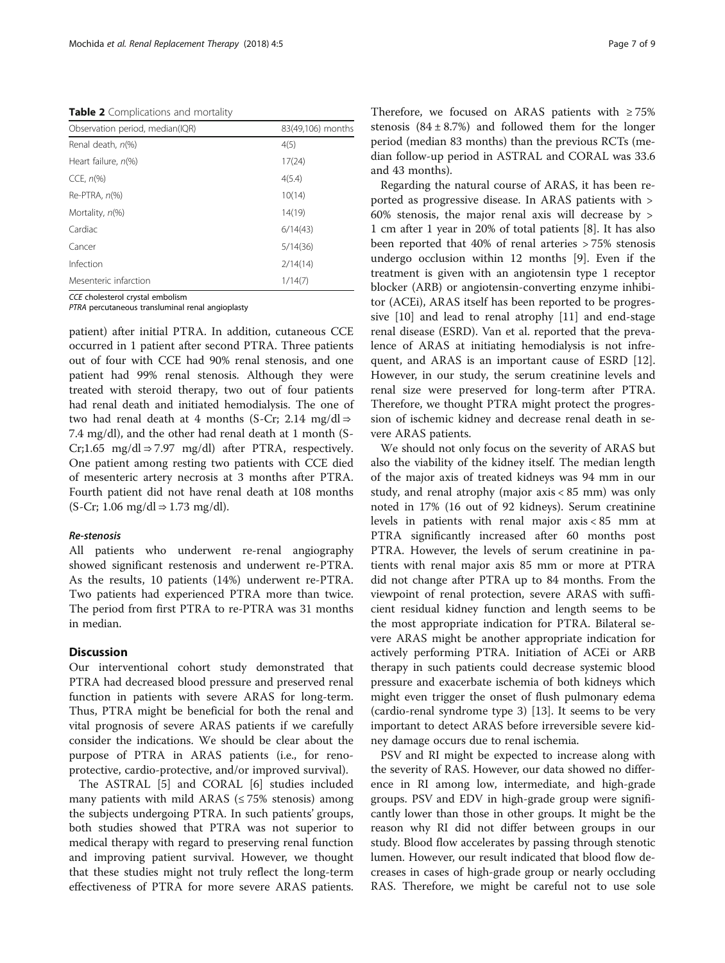<span id="page-6-0"></span>Table 2 Complications and mortality

| Observation period, median(IQR) | 83(49,106) months |  |
|---------------------------------|-------------------|--|
| Renal death, n(%)               | 4(5)              |  |
| Heart failure, n(%)             | 17(24)            |  |
| CCE, $n\%$                      | 4(5.4)            |  |
| Re-PTRA, $n$ (%)                | 10(14)            |  |
| Mortality, n(%)                 | 14(19)            |  |
| Cardiac                         | 6/14(43)          |  |
| Cancer                          | 5/14(36)          |  |
| Infection                       | 2/14(14)          |  |
| Mesenteric infarction           | 1/14(7)           |  |

CCE cholesterol crystal embolism

PTRA percutaneous transluminal renal angioplasty

patient) after initial PTRA. In addition, cutaneous CCE occurred in 1 patient after second PTRA. Three patients out of four with CCE had 90% renal stenosis, and one patient had 99% renal stenosis. Although they were treated with steroid therapy, two out of four patients had renal death and initiated hemodialysis. The one of two had renal death at 4 months (S-Cr; 2.14 mg/dl ⇒ 7.4 mg/dl), and the other had renal death at 1 month (S-Cr;1.65 mg/dl  $\Rightarrow$  7.97 mg/dl) after PTRA, respectively. One patient among resting two patients with CCE died of mesenteric artery necrosis at 3 months after PTRA. Fourth patient did not have renal death at 108 months  $(S-Cr; 1.06 \text{ mg}/dl \Rightarrow 1.73 \text{ mg}/dl)$ .

#### Re-stenosis

All patients who underwent re-renal angiography showed significant restenosis and underwent re-PTRA. As the results, 10 patients (14%) underwent re-PTRA. Two patients had experienced PTRA more than twice. The period from first PTRA to re-PTRA was 31 months in median.

## **Discussion**

Our interventional cohort study demonstrated that PTRA had decreased blood pressure and preserved renal function in patients with severe ARAS for long-term. Thus, PTRA might be beneficial for both the renal and vital prognosis of severe ARAS patients if we carefully consider the indications. We should be clear about the purpose of PTRA in ARAS patients (i.e., for renoprotective, cardio-protective, and/or improved survival).

The ASTRAL [\[5](#page-8-0)] and CORAL [\[6](#page-8-0)] studies included many patients with mild ARAS ( $\leq$  75% stenosis) among the subjects undergoing PTRA. In such patients' groups, both studies showed that PTRA was not superior to medical therapy with regard to preserving renal function and improving patient survival. However, we thought that these studies might not truly reflect the long-term effectiveness of PTRA for more severe ARAS patients. Therefore, we focused on ARAS patients with  $\geq 75\%$ stenosis  $(84 \pm 8.7%)$  and followed them for the longer period (median 83 months) than the previous RCTs (median follow-up period in ASTRAL and CORAL was 33.6 and 43 months).

Regarding the natural course of ARAS, it has been reported as progressive disease. In ARAS patients with > 60% stenosis, the major renal axis will decrease by > 1 cm after 1 year in 20% of total patients [\[8](#page-8-0)]. It has also been reported that 40% of renal arteries > 75% stenosis undergo occlusion within 12 months [\[9](#page-8-0)]. Even if the treatment is given with an angiotensin type 1 receptor blocker (ARB) or angiotensin-converting enzyme inhibitor (ACEi), ARAS itself has been reported to be progressive [[10](#page-8-0)] and lead to renal atrophy [[11](#page-8-0)] and end-stage renal disease (ESRD). Van et al. reported that the prevalence of ARAS at initiating hemodialysis is not infrequent, and ARAS is an important cause of ESRD [\[12](#page-8-0)]. However, in our study, the serum creatinine levels and renal size were preserved for long-term after PTRA. Therefore, we thought PTRA might protect the progression of ischemic kidney and decrease renal death in severe ARAS patients.

We should not only focus on the severity of ARAS but also the viability of the kidney itself. The median length of the major axis of treated kidneys was 94 mm in our study, and renal atrophy (major axis < 85 mm) was only noted in 17% (16 out of 92 kidneys). Serum creatinine levels in patients with renal major axis < 85 mm at PTRA significantly increased after 60 months post PTRA. However, the levels of serum creatinine in patients with renal major axis 85 mm or more at PTRA did not change after PTRA up to 84 months. From the viewpoint of renal protection, severe ARAS with sufficient residual kidney function and length seems to be the most appropriate indication for PTRA. Bilateral severe ARAS might be another appropriate indication for actively performing PTRA. Initiation of ACEi or ARB therapy in such patients could decrease systemic blood pressure and exacerbate ischemia of both kidneys which might even trigger the onset of flush pulmonary edema (cardio-renal syndrome type 3) [[13\]](#page-8-0). It seems to be very important to detect ARAS before irreversible severe kidney damage occurs due to renal ischemia.

PSV and RI might be expected to increase along with the severity of RAS. However, our data showed no difference in RI among low, intermediate, and high-grade groups. PSV and EDV in high-grade group were significantly lower than those in other groups. It might be the reason why RI did not differ between groups in our study. Blood flow accelerates by passing through stenotic lumen. However, our result indicated that blood flow decreases in cases of high-grade group or nearly occluding RAS. Therefore, we might be careful not to use sole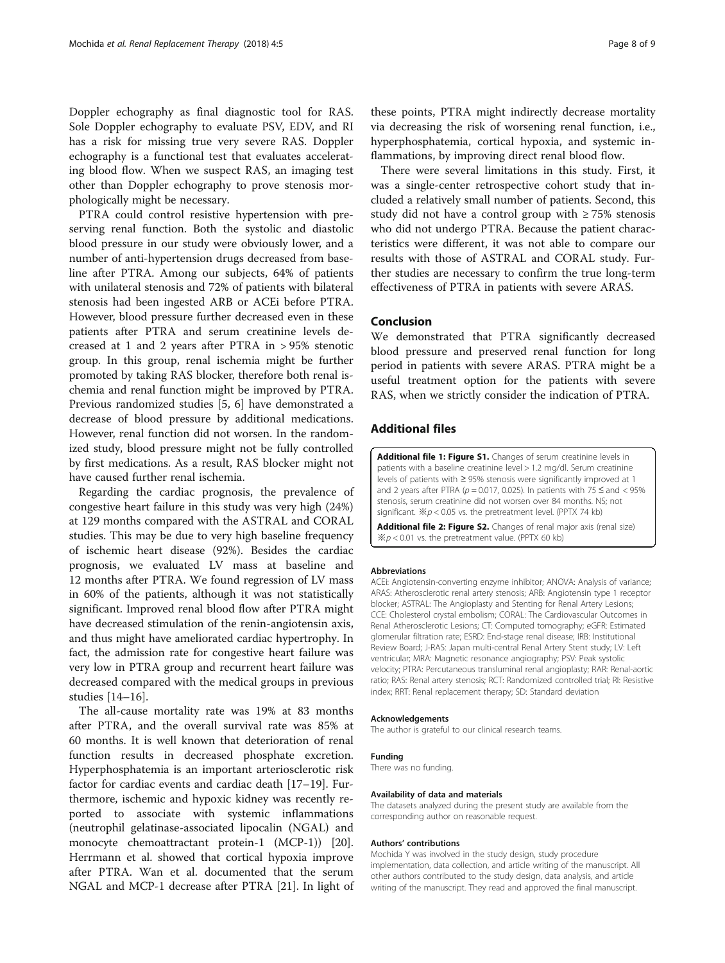<span id="page-7-0"></span>Doppler echography as final diagnostic tool for RAS. Sole Doppler echography to evaluate PSV, EDV, and RI has a risk for missing true very severe RAS. Doppler echography is a functional test that evaluates accelerating blood flow. When we suspect RAS, an imaging test other than Doppler echography to prove stenosis morphologically might be necessary.

PTRA could control resistive hypertension with preserving renal function. Both the systolic and diastolic blood pressure in our study were obviously lower, and a number of anti-hypertension drugs decreased from baseline after PTRA. Among our subjects, 64% of patients with unilateral stenosis and 72% of patients with bilateral stenosis had been ingested ARB or ACEi before PTRA. However, blood pressure further decreased even in these patients after PTRA and serum creatinine levels decreased at 1 and 2 years after PTRA in > 95% stenotic group. In this group, renal ischemia might be further promoted by taking RAS blocker, therefore both renal ischemia and renal function might be improved by PTRA. Previous randomized studies [\[5](#page-8-0), [6\]](#page-8-0) have demonstrated a decrease of blood pressure by additional medications. However, renal function did not worsen. In the randomized study, blood pressure might not be fully controlled by first medications. As a result, RAS blocker might not have caused further renal ischemia.

Regarding the cardiac prognosis, the prevalence of congestive heart failure in this study was very high (24%) at 129 months compared with the ASTRAL and CORAL studies. This may be due to very high baseline frequency of ischemic heart disease (92%). Besides the cardiac prognosis, we evaluated LV mass at baseline and 12 months after PTRA. We found regression of LV mass in 60% of the patients, although it was not statistically significant. Improved renal blood flow after PTRA might have decreased stimulation of the renin-angiotensin axis, and thus might have ameliorated cardiac hypertrophy. In fact, the admission rate for congestive heart failure was very low in PTRA group and recurrent heart failure was decreased compared with the medical groups in previous studies [\[14](#page-8-0)–[16\]](#page-8-0).

The all-cause mortality rate was 19% at 83 months after PTRA, and the overall survival rate was 85% at 60 months. It is well known that deterioration of renal function results in decreased phosphate excretion. Hyperphosphatemia is an important arteriosclerotic risk factor for cardiac events and cardiac death [[17](#page-8-0)–[19\]](#page-8-0). Furthermore, ischemic and hypoxic kidney was recently reported to associate with systemic inflammations (neutrophil gelatinase-associated lipocalin (NGAL) and monocyte chemoattractant protein-1 (MCP-1)) [\[20](#page-8-0)]. Herrmann et al. showed that cortical hypoxia improve after PTRA. Wan et al. documented that the serum NGAL and MCP-1 decrease after PTRA [[21](#page-8-0)]. In light of

these points, PTRA might indirectly decrease mortality via decreasing the risk of worsening renal function, i.e., hyperphosphatemia, cortical hypoxia, and systemic inflammations, by improving direct renal blood flow.

There were several limitations in this study. First, it was a single-center retrospective cohort study that included a relatively small number of patients. Second, this study did not have a control group with  $\geq 75\%$  stenosis who did not undergo PTRA. Because the patient characteristics were different, it was not able to compare our results with those of ASTRAL and CORAL study. Further studies are necessary to confirm the true long-term effectiveness of PTRA in patients with severe ARAS.

## Conclusion

We demonstrated that PTRA significantly decreased blood pressure and preserved renal function for long period in patients with severe ARAS. PTRA might be a useful treatment option for the patients with severe RAS, when we strictly consider the indication of PTRA.

## Additional files

[Additional file 1: Figure S1.](dx.doi.org/10.1186/s41100-018-0147-x) Changes of serum creatinine levels in patients with a baseline creatinine level > 1.2 mg/dl. Serum creatinine levels of patients with ≥ 95% stenosis were significantly improved at 1 and 2 years after PTRA ( $p = 0.017$ , 0.025). In patients with 75  $\le$  and  $<$  95% stenosis, serum creatinine did not worsen over 84 months. NS; not significant.  $\divideontimes p$  < 0.05 vs. the pretreatment level. (PPTX 74 kb)

[Additional file 2: Figure S2.](dx.doi.org/10.1186/s41100-018-0147-x) Changes of renal major axis (renal size)  $\divideontimes p$  < 0.01 vs. the pretreatment value. (PPTX 60 kb)

#### Abbreviations

ACEi: Angiotensin-converting enzyme inhibitor; ANOVA: Analysis of variance; ARAS: Atherosclerotic renal artery stenosis; ARB: Angiotensin type 1 receptor blocker; ASTRAL: The Angioplasty and Stenting for Renal Artery Lesions; CCE: Cholesterol crystal embolism; CORAL: The Cardiovascular Outcomes in Renal Atherosclerotic Lesions; CT: Computed tomography; eGFR: Estimated glomerular filtration rate; ESRD: End-stage renal disease; IRB: Institutional Review Board; J-RAS: Japan multi-central Renal Artery Stent study; LV: Left ventricular; MRA: Magnetic resonance angiography; PSV: Peak systolic velocity; PTRA: Percutaneous transluminal renal angioplasty; RAR: Renal-aortic ratio; RAS: Renal artery stenosis; RCT: Randomized controlled trial; RI: Resistive index; RRT: Renal replacement therapy; SD: Standard deviation

#### Acknowledgements

The author is grateful to our clinical research teams.

#### Funding

There was no funding.

#### Availability of data and materials

The datasets analyzed during the present study are available from the corresponding author on reasonable request.

#### Authors' contributions

Mochida Y was involved in the study design, study procedure implementation, data collection, and article writing of the manuscript. All other authors contributed to the study design, data analysis, and article writing of the manuscript. They read and approved the final manuscript.